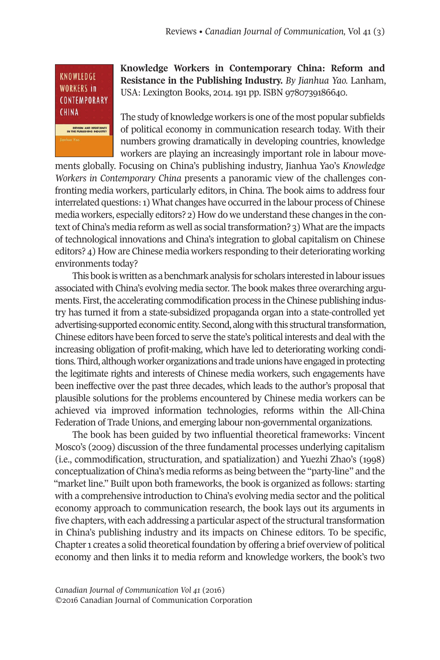

**Knowledge Workers in Contemporary China: Reform and Resistance in the Publishing Industry.** *By Jianhua Yao.* Lanham, USA: Lexington Books, 2014. 191 pp. ISBN 9780739186640.

The study of knowledge workers is one of the most popular subfields of political economy in communication research today. With their numbers growing dramatically in developing countries, knowledge workers are playing an increasingly important role in labour move-

ments globally. Focusing on China's publishing industry, Jianhua Yao's *Knowledge Workers in Contemporary China* presents a panoramic view of the challenges confronting media workers, particularly editors, in China. The book aims to address four interrelated questions:1) What changes have occurred in the labour process of Chinese media workers, especially editors? 2) How do we understand these changes in the context of China's media reform as well as social transformation? 3) What are the impacts of technological innovations and China's integration to global capitalism on Chinese editors? 4) How are Chinese media workers responding to their deteriorating working environments today?

This book is written as a benchmark analysis for scholars interested in labour issues associated with China's evolving media sector. The book makes three overarching arguments. First, the accelerating commodification process in the Chinese publishing industry has turned it from a state-subsidized propaganda organ into a state-controlled yet advertising-supported economic entity. Second, along with this structural transformation, Chinese editors have been forced to serve the state's political interests and deal with the increasing obligation of profit-making, which have led to deteriorating working conditions. Third, although worker organizations and trade unions have engaged in protecting the legitimate rights and interests of Chinese media workers, such engagements have been ineffective over the past three decades, which leads to the author's proposal that plausible solutions for the problems encountered by Chinese media workers can be achieved via improved information technologies, reforms within the All-China Federation of Trade Unions, and emerging labour non-governmental organizations.

The book has been guided by two influential theoretical frameworks: Vincent Mosco's (2009) discussion of the three fundamental processes underlying capitalism (i.e., commodification, structuration, and spatialization) and Yuezhi Zhao's (1998) conceptualization of China's media reforms as being between the "party-line" and the "market line." Built upon both frameworks, the book is organized as follows: starting with a comprehensive introduction to China's evolving media sector and the political economy approach to communication research, the book lays out its arguments in five chapters, with each addressing a particular aspect of the structural transformation in China's publishing industry and its impacts on Chinese editors. To be specific, Chapter 1 creates a solid theoretical foundation by offering a brief overview of political economy and then links it to media reform and knowledge workers, the book's two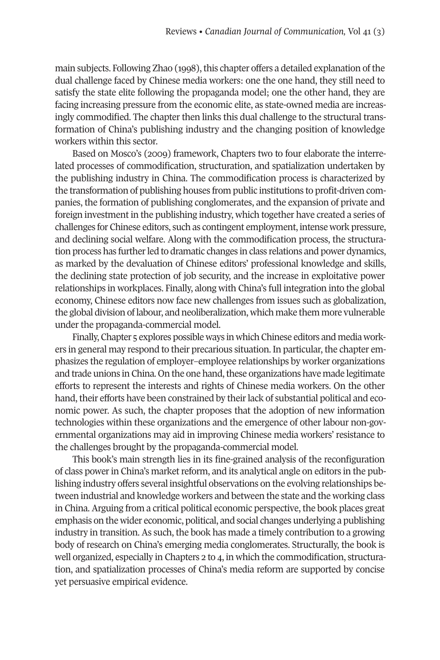main subjects. Following Zhao (1998), this chapter offers a detailed explanation of the dual challenge faced by Chinese media workers: one the one hand, they still need to satisfy the state elite following the propaganda model; one the other hand, they are facing increasing pressure from the economic elite, as state-owned media are increasingly commodified. The chapter then links this dual challenge to the structural transformation of China's publishing industry and the changing position of knowledge workers within this sector.

Based on Mosco's (2009) framework, Chapters two to four elaborate the interrelated processes of commodification, structuration, and spatialization undertaken by the publishing industry in China. The commodification process is characterized by the transformation of publishing houses from public institutions to profit-driven companies, the formation of publishing conglomerates, and the expansion of private and foreign investment in the publishing industry, which together have created a series of challenges for Chinese editors, such as contingent employment, intense work pressure, and declining social welfare. Along with the commodification process, the structuration process has further led to dramatic changes in class relations and power dynamics, as marked by the devaluation of Chinese editors' professional knowledge and skills, the declining state protection of job security, and the increase in exploitative power relationships in workplaces. Finally, along with China's full integration into the global economy, Chinese editors now face new challenges from issues such as globalization, the global division of labour, and neoliberalization, which make them more vulnerable under the propaganda-commercial model.

Finally, Chapter 5 explores possible ways in which Chinese editors and media workers in general may respond to their precarious situation. In particular, the chapter emphasizes the regulation of employer–employee relationships by worker organizations and trade unions in China. On the one hand, these organizations have made legitimate efforts to represent the interests and rights of Chinese media workers. On the other hand, their efforts have been constrained by their lack of substantial political and economic power. As such, the chapter proposes that the adoption of new information technologies within these organizations and the emergence of other labour non-governmental organizations may aid in improving Chinese media workers' resistance to the challenges brought by the propaganda-commercial model.

This book's main strength lies in its fine-grained analysis of the reconfiguration of class power in China's market reform, and its analytical angle on editors in the publishing industry offers several insightful observations on the evolving relationships between industrial and knowledge workers and between the state and the working class in China. Arguing from a critical political economic perspective, the book places great emphasis on the wider economic, political, and social changes underlying a publishing industry in transition. As such, the book has made a timely contribution to a growing body of research on China's emerging media conglomerates. Structurally, the book is well organized, especially in Chapters 2 to 4, in which the commodification, structuration, and spatialization processes of China's media reform are supported by concise yet persuasive empirical evidence.